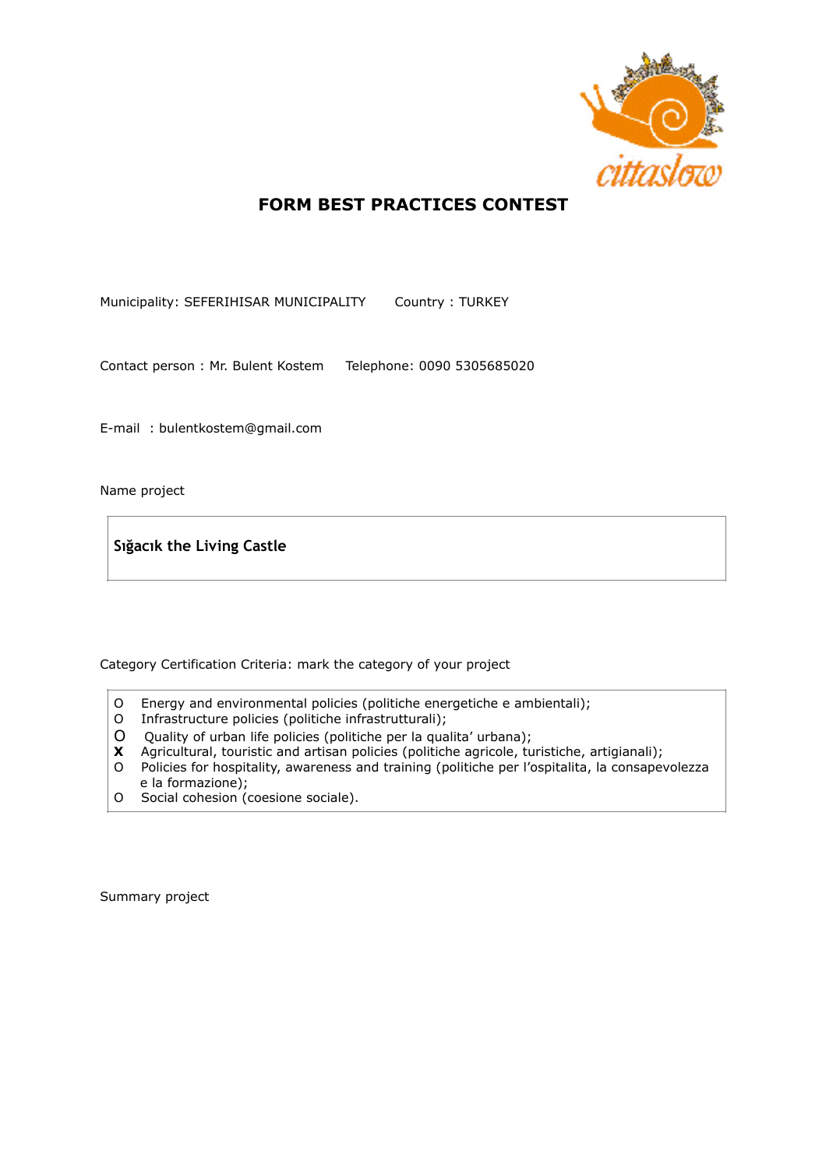

## **FORM BEST PRACTICES CONTEST**

Municipality: SEFERIHISAR MUNICIPALITY Country : TURKEY

Contact person : Mr. Bulent Kostem Telephone: 0090 5305685020

E-mail : bulentkostem@gmail.com

Name project

**Sığacık the Living Castle**

Category Certification Criteria: mark the category of your project

- O Energy and environmental policies (politiche energetiche e ambientali);
- O Infrastructure policies (politiche infrastrutturali);
- O Quality of urban life policies (politiche per la qualita' urbana);
- **X** Agricultural, touristic and artisan policies (politiche agricole, turistiche, artigianali);
- O Policies for hospitality, awareness and training (politiche per l'ospitalita, la consapevolezza e la formazione);
- O Social cohesion (coesione sociale).

Summary project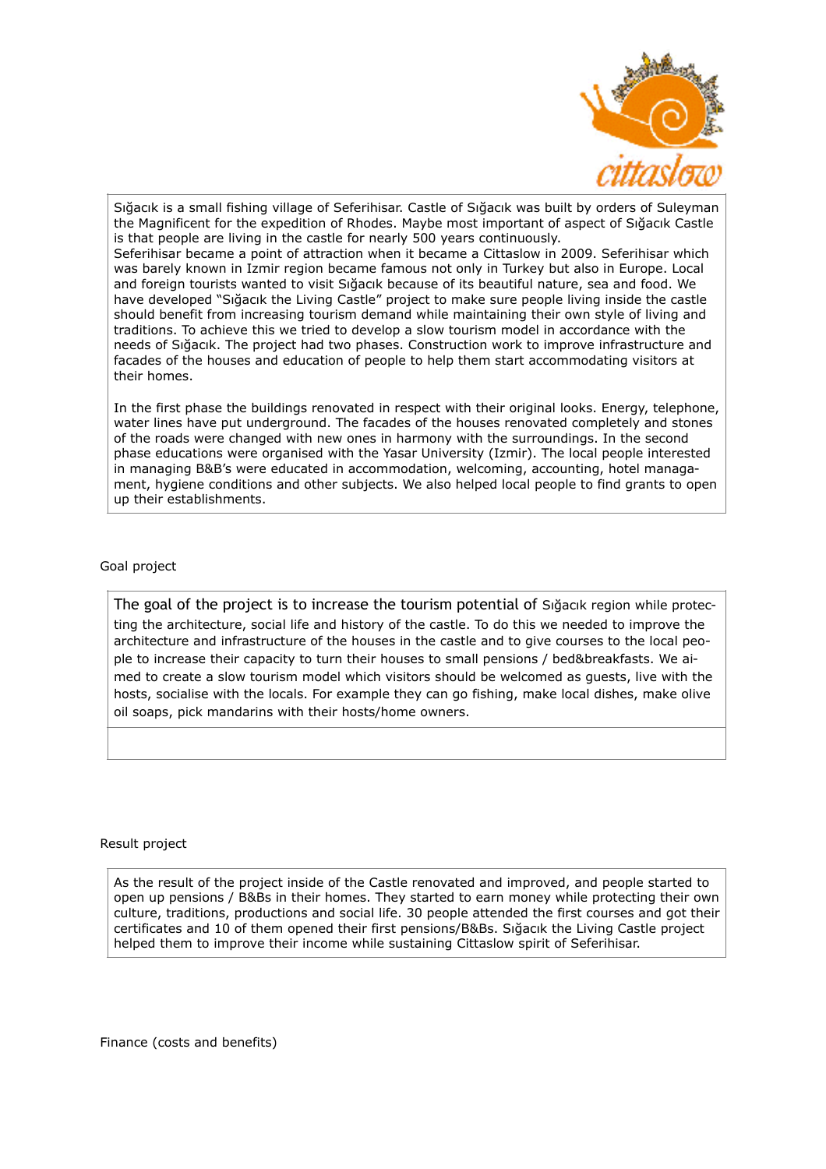

Sığacık is a small fishing village of Seferihisar. Castle of Sığacık was built by orders of Suleyman the Magnificent for the expedition of Rhodes. Maybe most important of aspect of Sığacık Castle is that people are living in the castle for nearly 500 years continuously. Seferihisar became a point of attraction when it became a Cittaslow in 2009. Seferihisar which was barely known in Izmir region became famous not only in Turkey but also in Europe. Local and foreign tourists wanted to visit Sığacık because of its beautiful nature, sea and food. We have developed "Sığacık the Living Castle" project to make sure people living inside the castle should benefit from increasing tourism demand while maintaining their own style of living and traditions. To achieve this we tried to develop a slow tourism model in accordance with the needs of Sığacık. The project had two phases. Construction work to improve infrastructure and facades of the houses and education of people to help them start accommodating visitors at their homes.

In the first phase the buildings renovated in respect with their original looks. Energy, telephone, water lines have put underground. The facades of the houses renovated completely and stones of the roads were changed with new ones in harmony with the surroundings. In the second phase educations were organised with the Yasar University (Izmir). The local people interested in managing B&B's were educated in accommodation, welcoming, accounting, hotel managament, hygiene conditions and other subjects. We also helped local people to find grants to open up their establishments.

## Goal project

The goal of the project is to increase the tourism potential of Sığacık region while protecting the architecture, social life and history of the castle. To do this we needed to improve the architecture and infrastructure of the houses in the castle and to give courses to the local people to increase their capacity to turn their houses to small pensions / bed&breakfasts. We aimed to create a slow tourism model which visitors should be welcomed as guests, live with the hosts, socialise with the locals. For example they can go fishing, make local dishes, make olive oil soaps, pick mandarins with their hosts/home owners.

## Result project

As the result of the project inside of the Castle renovated and improved, and people started to open up pensions / B&Bs in their homes. They started to earn money while protecting their own culture, traditions, productions and social life. 30 people attended the first courses and got their certificates and 10 of them opened their first pensions/B&Bs. Sığacık the Living Castle project helped them to improve their income while sustaining Cittaslow spirit of Seferihisar.

Finance (costs and benefits)